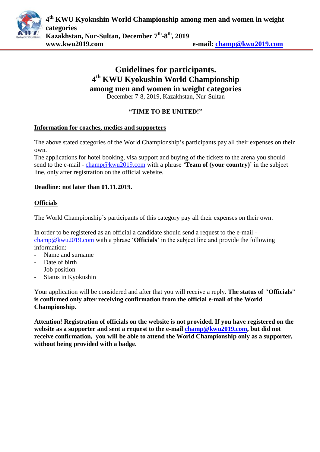

# **Guidelines for participants. 4 th KWU Kyokushin World Championship among men and women in weight categories**

December 7-8, 2019, Kazakhstan, Nur-Sultan

## **"TIME TO BE UNITED!"**

#### **Information for coaches, medics and supporters**

The above stated categories of the World Championship's participants pay all their expenses on their own.

The applications for hotel booking, visa support and buying of the tickets to the arena you should send to the e-mail - [champ@kwu2019.com](mailto:champ@kwu2019.com) with a phrase '**Team of (your country)**' in the subject line, only after registration on the official website.

#### **Deadline: not later than 01.11.2019.**

## **Officials**

The World Championship's participants of this category pay all their expenses on their own.

In order to be registered as an official a candidate should send a request to the e-mail [champ@kwu2019.com](mailto:champ@kwu2019.com) with a phrase '**Officials**' in the subject line and provide the following information:

- Name and surname
- Date of birth
- Job position
- Status in Kyokushin

Your application will be considered and after that you will receive a reply. **The status of "Officials" is confirmed only after receiving confirmation from the official e-mail of the World Championship.**

**Attention! Registration of officials on the website is not provided. If you have registered on the website as a supporter and sent a request to the e-mail [champ@kwu2019.com,](mailto:champ@kwu2019.com) but did not receive confirmation, you will be able to attend the World Championship only as a supporter, without being provided with a badge.**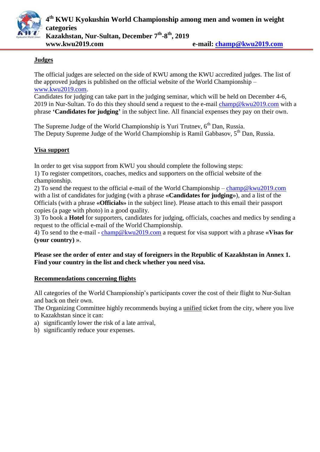

#### **Judges**

The official judges are selected on the side of KWU among the KWU accredited judges. The list of the approved judges is published on the official website of the World Championship – [www.kwu2019.com.](http://www.kwu2019.com/)

Candidates for judging can take part in the judging seminar, which will be held on December 4-6, 2019 in Nur-Sultan. To do this they should send a request to the e-mail [champ@kwu2019.com](mailto:champ@kwu2019.com) with a phrase **'Candidates for judging'** in the subject line. All financial expenses they pay on their own.

The Supreme Judge of the World Championship is Yuri Trutnev,  $6<sup>th</sup>$  Dan, Russia. The Deputy Supreme Judge of the World Championship is Ramil Gabbasov, 5<sup>th</sup> Dan, Russia.

#### **Visa support**

In order to get visa support from KWU you should complete the following steps:

1) To register competitors, coaches, medics and supporters on the official website of the championship.

2) To send the request to the official e-mail of the World Championship – [champ@kwu2019.com](mailto:champ@kwu2019.com) with a list of candidates for judging (with a phrase **«Candidates for judging»**), and a list of the Officials (with a phrase **«Officials»** in the subject line). Please attach to this email their passport copies (a page with photo) in a good quality.

3) To book a **Hotel** for supporters, candidates for judging, officials, coaches and medics by sending a request to the official e-mail of the World Championship.

4) To send to the e-mail - [champ@kwu2019.com](mailto:champ@kwu2019.com) a request for visa support with a phrase **«Visas for (your country) »**.

#### **Please see the order of enter and stay of foreigners in the Republic of Kazakhstan in Annex 1. Find your country in the list and check whether you need visa.**

#### **Recommendations concerning flights**

All categories of the World Championship's participants cover the cost of their flight to Nur-Sultan and back on their own.

The Organizing Committee highly recommends buying a unified ticket from the city, where you live to Kazakhstan since it can:

- a) significantly lower the risk of a late arrival,
- b) significantly reduce your expenses.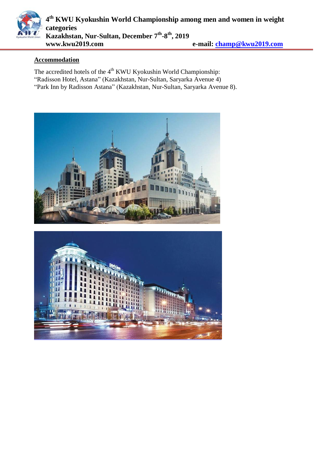

#### **Accommodation**

The accredited hotels of the  $4<sup>th</sup>$  KWU Kyokushin World Championship: "Radisson Hotel, Astana" (Kazakhstan, Nur-Sultan, Saryarka Avenue 4) "Park Inn by Radisson Astana" (Kazakhstan, Nur-Sultan, Saryarka Avenue 8).



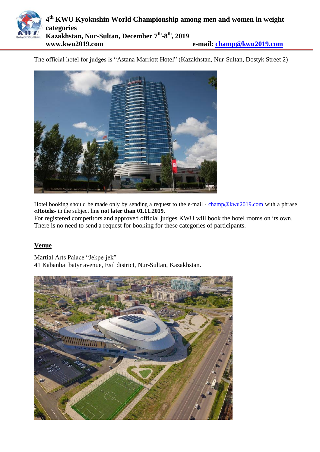

The official hotel for judges is "Astana Marriott Hotel" (Kazakhstan, Nur-Sultan, Dostyk Street 2)



Hotel booking should be made only by sending a request to the e-mail - [champ@kwu2019.com](mailto:champ@kwu2019.com) with a phrase **«Hotels»** in the subject line **not later than 01.11.2019.**

For registered competitors and approved official judges KWU will book the hotel rooms on its own. There is no need to send a request for booking for these categories of participants.

#### **Venue**

Martial Arts Palace "Jekpe-jek" 41 Kabanbai batyr avenue, Esil district, Nur-Sultan, Kazakhstan.

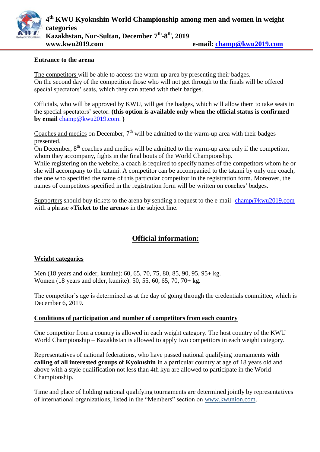

#### **Entrance to the arena**

The competitors will be able to access the warm-up area by presenting their badges. On the second day of the competition those who will not get through to the finals will be offered special spectators' seats, which they can attend with their badges.

Officials, who will be approved by KWU, will get the badges, which will allow them to take seats in the special spectators' sector. **(this option is available only when the official status is confirmed by email** [champ@kwu2019.com.](mailto:champ@kwu2017.com) **)**

Coaches and medics on December,  $7<sup>th</sup>$  will be admitted to the warm-up area with their badges presented.

On December,  $8<sup>th</sup>$  coaches and medics will be admitted to the warm-up area only if the competitor, whom they accompany, fights in the final bouts of the World Championship.

While registering on the website, a coach is required to specify names of the competitors whom he or she will accompany to the tatami. A competitor can be accompanied to the tatami by only one coach, the one who specified the name of this particular competitor in the registration form. Moreover, the names of competitors specified in the registration form will be written on coaches' badges.

Supporters should buy tickets to the arena by sending a request to the e-mail [-champ@kwu2019.com](mailto:champ@kwu2019.com) with a phrase **«Ticket to the arena»** in the subject line.

## **Official information:**

#### **Weight categories**

Men (18 years and older, kumite): 60, 65, 70, 75, 80, 85, 90, 95, 95+ kg. Women (18 years and older, kumite): 50, 55, 60, 65, 70, 70+ kg.

The competitor's age is determined as at the day of going through the credentials committee, which is December 6, 2019.

#### **Conditions of participation and number of competitors from each country**

One competitor from a country is allowed in each weight category. The host country of the KWU World Championship – Kazakhstan is allowed to apply two competitors in each weight category.

Representatives of national federations, who have passed national qualifying tournaments **with calling of all interested groups of Kyokushin** in a particular country at age of 18 years old and above with a style qualification not less than 4th kyu are allowed to participate in the World Championship.

Time and place of holding national qualifying tournaments are determined jointly by representatives of international organizations, listed in the "Members" section on www.kwunion.com.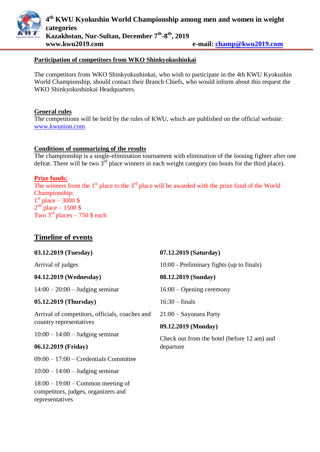

#### **Participation of competitors from WKO Shinkyokushinkai**

The competitors from WKO Shinkyokushinkai, who wish to participate in the 4th KWU Kyokushin World Championship, should contact their Branch Chiefs, who would inform about this request the WKO Shinkyokushinkai Headquarters.

#### **General rules**

The competitions will be held by the rules of KWU, which are published on the official website: [www.kwunion.com](http://www.kwunion.com/)

#### **Conditions of summarizing of the results**

The championship is a single-elimination tournament with elimination of the loosing fighter after one defeat. There will be two  $3^{rd}$  place winners in each weight category (no bouts for the third place).

#### **Prize funds:**

The winners from the  $1<sup>st</sup>$  place to the  $3<sup>rd</sup>$  place will be awarded with the prize fund of the World Championship:  $1<sup>st</sup>$  place  $-3000$  \$  $2<sup>nd</sup>$  place  $-1500$  \$ Two  $3<sup>rd</sup>$  places – 750 \$ each

## **Timeline of events**

| 03.12.2019 (Tuesday)                                                                          | 07.12.2019 (Saturday)                       |  |  |  |  |
|-----------------------------------------------------------------------------------------------|---------------------------------------------|--|--|--|--|
| Arrival of judges                                                                             | 10:00 - Preliminary fights (up to finals)   |  |  |  |  |
| 04.12.2019 (Wednesday)                                                                        | 08.12.2019 (Sunday)                         |  |  |  |  |
| $14:00 - 20:00 -$ Judging seminar                                                             | $16:00 -$ Opening ceremony                  |  |  |  |  |
| 05.12.2019 (Thursday)                                                                         | $16:30 - \text{finals}$                     |  |  |  |  |
| Arrival of competitors, officials, coaches and                                                | $21:00$ – Sayonara Party                    |  |  |  |  |
| country representatives                                                                       | 09.12.2019 (Monday)                         |  |  |  |  |
| $10:00 - 14:00$ – Judging seminar                                                             | Check out from the hotel (before 12 am) and |  |  |  |  |
| 06.12.2019 (Friday)                                                                           | departure                                   |  |  |  |  |
| $09:00 - 17:00$ – Credentials Committee                                                       |                                             |  |  |  |  |
| $10:00 - 14:00$ – Judging seminar                                                             |                                             |  |  |  |  |
| $18:00 - 19:00$ – Common meeting of<br>competitors, judges, organizers and<br>representatives |                                             |  |  |  |  |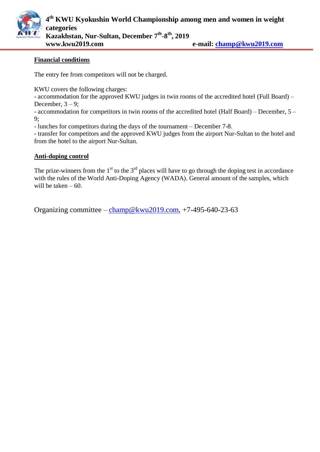

#### **Financial conditions**

The entry fee from competitors will not be charged.

KWU covers the following charges:

- accommodation for the approved KWU judges in twin rooms of the accredited hotel (Full Board) – December,  $3 - 9$ ;

- accommodation for competitors in twin rooms of the accredited hotel (Half Board) – December, 5 – 9;

- lunches for competitors during the days of the tournament – December 7-8.

- transfer for competitors and the approved KWU judges from the airport Nur-Sultan to the hotel and from the hotel to the airport Nur-Sultan.

#### **Anti-doping control**

The prize-winners from the  $1<sup>st</sup>$  to the  $3<sup>rd</sup>$  places will have to go through the doping test in accordance with the rules of the World Anti-Doping Agency (WADA). General amount of the samples, which will be taken  $-60$ .

Organizing committee – [champ@kwu2019.com,](mailto:champ@kwu2019.com) +7-495-640-23-63